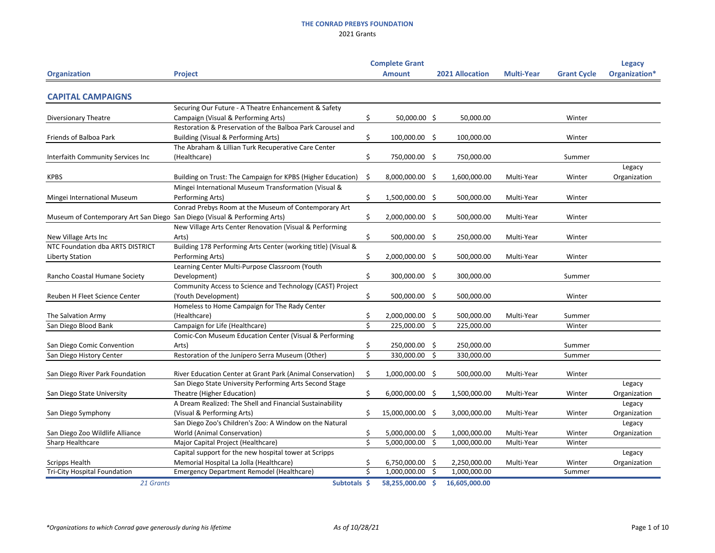|                                                                           |                                                               |     | <b>Complete Grant</b> |     |                        |                   |                    | <b>Legacy</b> |
|---------------------------------------------------------------------------|---------------------------------------------------------------|-----|-----------------------|-----|------------------------|-------------------|--------------------|---------------|
| <b>Organization</b>                                                       | <b>Project</b>                                                |     | <b>Amount</b>         |     | <b>2021 Allocation</b> | <b>Multi-Year</b> | <b>Grant Cycle</b> | Organization* |
|                                                                           |                                                               |     |                       |     |                        |                   |                    |               |
| <b>CAPITAL CAMPAIGNS</b>                                                  |                                                               |     |                       |     |                        |                   |                    |               |
|                                                                           | Securing Our Future - A Theatre Enhancement & Safety          |     |                       |     |                        |                   |                    |               |
| <b>Diversionary Theatre</b>                                               | Campaign (Visual & Performing Arts)                           | \$  | 50,000.00 \$          |     | 50,000.00              |                   | Winter             |               |
|                                                                           | Restoration & Preservation of the Balboa Park Carousel and    |     |                       |     |                        |                   |                    |               |
| Friends of Balboa Park                                                    | Building (Visual & Performing Arts)                           | \$. | 100,000.00 \$         |     | 100,000.00             |                   | Winter             |               |
|                                                                           | The Abraham & Lillian Turk Recuperative Care Center           |     |                       |     |                        |                   |                    |               |
| Interfaith Community Services Inc                                         | (Healthcare)                                                  | Ś   | 750,000.00            | \$. | 750,000.00             |                   | Summer             |               |
|                                                                           |                                                               |     |                       |     |                        |                   |                    | Legacy        |
| <b>KPBS</b>                                                               | Building on Trust: The Campaign for KPBS (Higher Education)   | S   | 8,000,000.00          | S   | 1,600,000.00           | Multi-Year        | Winter             | Organization  |
|                                                                           | Mingei International Museum Transformation (Visual &          |     |                       |     |                        |                   |                    |               |
| Mingei International Museum                                               | Performing Arts)                                              | \$  | 1,500,000.00          | -\$ | 500,000.00             | Multi-Year        | Winter             |               |
|                                                                           | Conrad Prebys Room at the Museum of Contemporary Art          |     |                       |     |                        |                   |                    |               |
| Museum of Contemporary Art San Diego San Diego (Visual & Performing Arts) |                                                               |     | 2,000,000.00          | -Ş  | 500,000.00             | Multi-Year        | Winter             |               |
|                                                                           | New Village Arts Center Renovation (Visual & Performing       |     |                       |     |                        |                   |                    |               |
| New Village Arts Inc                                                      | Arts)                                                         |     | 500,000.00 \$         |     | 250,000.00             | Multi-Year        | Winter             |               |
| NTC Foundation dba ARTS DISTRICT                                          | Building 178 Performing Arts Center (working title) (Visual & |     |                       |     |                        |                   |                    |               |
| <b>Liberty Station</b>                                                    | Performing Arts)                                              |     | 2,000,000.00 \$       |     | 500,000.00             | Multi-Year        | Winter             |               |
|                                                                           | Learning Center Multi-Purpose Classroom (Youth                |     |                       |     |                        |                   |                    |               |
| Rancho Coastal Humane Society                                             | Development)                                                  | \$  | 300,000.00 \$         |     | 300,000.00             |                   | Summer             |               |
|                                                                           | Community Access to Science and Technology (CAST) Project     |     |                       |     |                        |                   |                    |               |
| Reuben H Fleet Science Center                                             | (Youth Development)                                           | Ś   | 500,000.00            | \$  | 500,000.00             |                   | Winter             |               |
|                                                                           | Homeless to Home Campaign for The Rady Center                 |     |                       |     |                        |                   |                    |               |
| The Salvation Army                                                        | (Healthcare)                                                  |     | 2,000,000.00          | \$  | 500,000.00             | Multi-Year        | Summer             |               |
| San Diego Blood Bank                                                      | Campaign for Life (Healthcare)                                | ς   | 225,000.00            | S   | 225,000.00             |                   | Winter             |               |
|                                                                           | Comic-Con Museum Education Center (Visual & Performing        |     |                       |     |                        |                   |                    |               |
| San Diego Comic Convention                                                | Arts)                                                         |     | 250,000.00            | \$  | 250,000.00             |                   | Summer             |               |
| San Diego History Center                                                  | Restoration of the Junípero Serra Museum (Other)              |     | 330,000.00            | Ś   | 330,000.00             |                   | Summer             |               |
|                                                                           |                                                               |     |                       |     |                        |                   |                    |               |
| San Diego River Park Foundation                                           | River Education Center at Grant Park (Animal Conservation)    | S   | 1,000,000.00 \$       |     | 500,000.00             | Multi-Year        | Winter             |               |
|                                                                           | San Diego State University Performing Arts Second Stage       |     |                       |     |                        |                   |                    | Legacy        |
| San Diego State University                                                | Theatre (Higher Education)                                    | \$  | $6,000,000.00$ \$     |     | 1,500,000.00           | Multi-Year        | Winter             | Organization  |
|                                                                           | A Dream Realized: The Shell and Financial Sustainability      |     |                       |     |                        |                   |                    | Legacy        |
| San Diego Symphony                                                        | (Visual & Performing Arts)                                    | \$  | 15,000,000.00 \$      |     | 3,000,000.00           | Multi-Year        | Winter             | Organization  |
|                                                                           | San Diego Zoo's Children's Zoo: A Window on the Natural       |     |                       |     |                        |                   |                    | Legacy        |
| San Diego Zoo Wildlife Alliance                                           | <b>World (Animal Conservation)</b>                            | \$  | 5,000,000.00          | Ş   | 1,000,000.00           | Multi-Year        | Winter             | Organization  |
| Sharp Healthcare                                                          | Major Capital Project (Healthcare)                            | \$  | 5,000,000.00          | Ś   | 1,000,000.00           | Multi-Year        | Winter             |               |
|                                                                           | Capital support for the new hospital tower at Scripps         |     |                       |     |                        |                   |                    | Legacy        |
| <b>Scripps Health</b>                                                     | Memorial Hospital La Jolla (Healthcare)                       | \$  | 6,750,000.00          | -Ş  | 2,250,000.00           | Multi-Year        | Winter             | Organization  |
| <b>Tri-City Hospital Foundation</b>                                       | <b>Emergency Department Remodel (Healthcare)</b>              | Ś   | 1,000,000.00          | \$  | 1,000,000.00           |                   | Summer             |               |
| 21 Grants                                                                 | Subtotals \$                                                  |     | 58,255,000.00 \$      |     | 16,605,000.00          |                   |                    |               |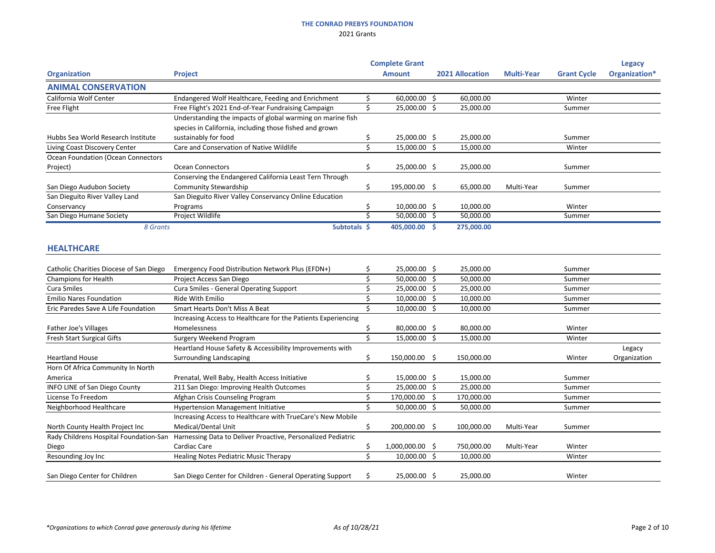|                                           |                                                               |     | <b>Complete Grant</b> |         |                        |                   |                    | <b>Legacy</b> |
|-------------------------------------------|---------------------------------------------------------------|-----|-----------------------|---------|------------------------|-------------------|--------------------|---------------|
| <b>Organization</b>                       | <b>Project</b>                                                |     | <b>Amount</b>         |         | <b>2021 Allocation</b> | <b>Multi-Year</b> | <b>Grant Cycle</b> | Organization* |
| <b>ANIMAL CONSERVATION</b>                |                                                               |     |                       |         |                        |                   |                    |               |
| California Wolf Center                    | Endangered Wolf Healthcare, Feeding and Enrichment            |     | 60,000.00 \$          |         | 60,000.00              |                   | Winter             |               |
| Free Flight                               | Free Flight's 2021 End-of-Year Fundraising Campaign           | Ś.  | 25,000.00             | \$      | 25,000.00              |                   | Summer             |               |
|                                           | Understanding the impacts of global warming on marine fish    |     |                       |         |                        |                   |                    |               |
|                                           | species in California, including those fished and grown       |     |                       |         |                        |                   |                    |               |
| Hubbs Sea World Research Institute        | sustainably for food                                          |     | 25,000.00 \$          |         | 25,000.00              |                   | Summer             |               |
| Living Coast Discovery Center             | Care and Conservation of Native Wildlife                      | Ś.  | 15,000.00             | $\zeta$ | 15,000.00              |                   | Winter             |               |
| <b>Ocean Foundation (Ocean Connectors</b> |                                                               |     |                       |         |                        |                   |                    |               |
| Project)                                  | <b>Ocean Connectors</b>                                       | \$  | 25,000.00 \$          |         | 25,000.00              |                   | Summer             |               |
|                                           | Conserving the Endangered California Least Tern Through       |     |                       |         |                        |                   |                    |               |
| San Diego Audubon Society                 | <b>Community Stewardship</b>                                  | \$  | 195,000.00 \$         |         | 65,000.00              | Multi-Year        | Summer             |               |
| San Dieguito River Valley Land            | San Dieguito River Valley Conservancy Online Education        |     |                       |         |                        |                   |                    |               |
| Conservancy                               | Programs                                                      | \$, | $10,000.00$ \$        |         | 10,000.00              |                   | Winter             |               |
| San Diego Humane Society                  | Project Wildlife                                              | \$  | 50,000.00 \$          |         | 50,000.00              |                   | Summer             |               |
| 8 Grants                                  | Subtotals \$                                                  |     | 405,000.00 \$         |         | 275,000.00             |                   |                    |               |
|                                           |                                                               |     |                       |         |                        |                   |                    |               |
| <b>HEALTHCARE</b>                         |                                                               |     |                       |         |                        |                   |                    |               |
| Catholic Charities Diocese of San Diego   | Emergency Food Distribution Network Plus (EFDN+)              |     | 25,000.00 \$          |         | 25,000.00              |                   | Summer             |               |
| <b>Champions for Health</b>               | Project Access San Diego                                      |     | 50,000.00             | -\$     | 50,000.00              |                   | Summer             |               |
| <b>Cura Smiles</b>                        | <b>Cura Smiles - General Operating Support</b>                |     | 25,000.00             | -\$     | 25,000.00              |                   | Summer             |               |
| <b>Emilio Nares Foundation</b>            | Ride With Emilio                                              |     | 10,000.00             | -S      | 10,000.00              |                   | Summer             |               |
| Eric Paredes Save A Life Foundation       | <b>Smart Hearts Don't Miss A Beat</b>                         |     | 10,000.00 \$          |         | 10,000.00              |                   | Summer             |               |
|                                           | Increasing Access to Healthcare for the Patients Experiencing |     |                       |         |                        |                   |                    |               |
| Father Joe's Villages                     | Homelessness                                                  |     | 80,000.00 \$          |         | 80,000.00              |                   | Winter             |               |
| <b>Fresh Start Surgical Gifts</b>         | <b>Surgery Weekend Program</b>                                | \$. | 15,000.00             | Ŝ.      | 15,000.00              |                   | Winter             |               |
|                                           | Heartland House Safety & Accessibility Improvements with      |     |                       |         |                        |                   |                    | Legacy        |
| <b>Heartland House</b>                    | <b>Surrounding Landscaping</b>                                | \$  | 150,000.00 \$         |         | 150,000.00             |                   | Winter             | Organization  |
| Horn Of Africa Community In North         |                                                               |     |                       |         |                        |                   |                    |               |
| America                                   | Prenatal, Well Baby, Health Access Initiative                 |     | 15,000.00 \$          |         | 15,000.00              |                   | Summer             |               |
| <b>INFO LINE of San Diego County</b>      | 211 San Diego: Improving Health Outcomes                      |     | 25,000.00             | \$      | 25,000.00              |                   | Summer             |               |
| License To Freedom                        | Afghan Crisis Counseling Program                              |     | 170,000.00            | \$      | 170,000.00             |                   | Summer             |               |
| Neighborhood Healthcare                   | <b>Hypertension Management Initiative</b>                     |     | 50,000.00 \$          |         | 50,000.00              |                   | Summer             |               |
|                                           | Increasing Access to Healthcare with TrueCare's New Mobile    |     |                       |         |                        |                   |                    |               |
| North County Health Project Inc           | Medical/Dental Unit                                           |     | 200,000.00 \$         |         | 100,000.00             | Multi-Year        | Summer             |               |
| Rady Childrens Hospital Foundation-San    | Harnessing Data to Deliver Proactive, Personalized Pediatric  |     |                       |         |                        |                   |                    |               |
| Diego                                     | Cardiac Care                                                  | S   | 1,000,000.00          | -Ş      | 750,000.00             | Multi-Year        | Winter             |               |
| Resounding Joy Inc                        | <b>Healing Notes Pediatric Music Therapy</b>                  | Ś.  | 10,000.00 \$          |         | 10,000.00              |                   | Winter             |               |
|                                           |                                                               |     |                       |         |                        |                   |                    |               |
| San Diego Center for Children             | San Diego Center for Children - General Operating Support     | S.  | 25,000.00 \$          |         | 25,000.00              |                   | Winter             |               |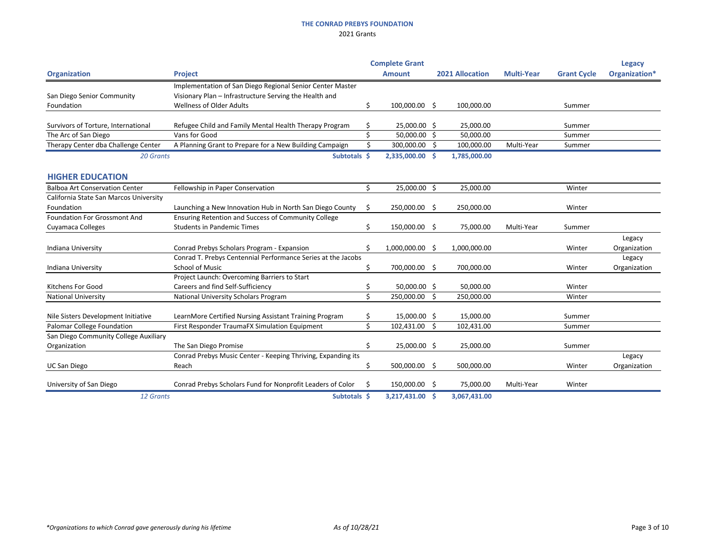|                                        |                                                              |                    | <b>Complete Grant</b> |    |                        |                   |                    | <b>Legacy</b> |
|----------------------------------------|--------------------------------------------------------------|--------------------|-----------------------|----|------------------------|-------------------|--------------------|---------------|
| <b>Organization</b>                    | <b>Project</b>                                               |                    | <b>Amount</b>         |    | <b>2021 Allocation</b> | <b>Multi-Year</b> | <b>Grant Cycle</b> | Organization* |
|                                        | Implementation of San Diego Regional Senior Center Master    |                    |                       |    |                        |                   |                    |               |
| San Diego Senior Community             | Visionary Plan - Infrastructure Serving the Health and       |                    |                       |    |                        |                   |                    |               |
| Foundation                             | <b>Wellness of Older Adults</b>                              | \$                 | 100,000.00 \$         |    | 100,000.00             |                   | Summer             |               |
| Survivors of Torture, International    | Refugee Child and Family Mental Health Therapy Program       |                    | 25,000.00 \$          |    | 25,000.00              |                   | Summer             |               |
| The Arc of San Diego                   | Vans for Good                                                | \$                 | 50,000.00 \$          |    | 50,000.00              |                   | Summer             |               |
| Therapy Center dba Challenge Center    | A Planning Grant to Prepare for a New Building Campaign      | \$                 | 300,000.00            | \$ | 100,000.00             | Multi-Year        | Summer             |               |
| 20 Grants                              | Subtotals \$                                                 |                    | 2,335,000.00 \$       |    | 1,785,000.00           |                   |                    |               |
| <b>HIGHER EDUCATION</b>                |                                                              |                    |                       |    |                        |                   |                    |               |
| <b>Balboa Art Conservation Center</b>  | Fellowship in Paper Conservation                             | Ŝ.                 | 25,000.00 \$          |    | 25,000.00              |                   | Winter             |               |
| California State San Marcos University |                                                              |                    |                       |    |                        |                   |                    |               |
| Foundation                             | Launching a New Innovation Hub in North San Diego County     | Ŝ.                 | 250,000.00            | \$ | 250,000.00             |                   | Winter             |               |
| <b>Foundation For Grossmont And</b>    | Ensuring Retention and Success of Community College          |                    |                       |    |                        |                   |                    |               |
| Cuyamaca Colleges                      | <b>Students in Pandemic Times</b>                            | \$                 | 150,000.00 \$         |    | 75,000.00              | Multi-Year        | Summer             |               |
|                                        |                                                              |                    |                       |    |                        |                   |                    | Legacy        |
| Indiana University                     | Conrad Prebys Scholars Program - Expansion                   | S.                 | 1,000,000.00 \$       |    | 1,000,000.00           |                   | Winter             | Organization  |
|                                        | Conrad T. Prebys Centennial Performance Series at the Jacobs |                    |                       |    |                        |                   |                    | Legacy        |
| Indiana University                     | <b>School of Music</b>                                       | \$                 | 700,000.00            | \$ | 700,000.00             |                   | Winter             | Organization  |
|                                        | Project Launch: Overcoming Barriers to Start                 |                    |                       |    |                        |                   |                    |               |
| <b>Kitchens For Good</b>               | Careers and find Self-Sufficiency                            | Ŝ                  | 50,000.00 \$          |    | 50,000.00              |                   | Winter             |               |
| <b>National University</b>             | National University Scholars Program                         | $\mathsf{\dot{S}}$ | 250,000.00            | \$ | 250,000.00             |                   | Winter             |               |
| Nile Sisters Development Initiative    | LearnMore Certified Nursing Assistant Training Program       | \$                 | 15,000.00 \$          |    | 15,000.00              |                   | Summer             |               |
| <b>Palomar College Foundation</b>      | First Responder TraumaFX Simulation Equipment                | \$                 | 102,431.00            | \$ | 102,431.00             |                   | Summer             |               |
| San Diego Community College Auxiliary  |                                                              |                    |                       |    |                        |                   |                    |               |
| Organization                           | The San Diego Promise                                        | \$                 | 25,000.00 \$          |    | 25,000.00              |                   | Summer             |               |
|                                        | Conrad Prebys Music Center - Keeping Thriving, Expanding its |                    |                       |    |                        |                   |                    | Legacy        |
| <b>UC San Diego</b>                    | Reach                                                        | \$                 | 500,000.00            | \$ | 500,000.00             |                   | Winter             | Organization  |
| University of San Diego                | Conrad Prebys Scholars Fund for Nonprofit Leaders of Color   | S                  | 150,000.00            | -Ş | 75,000.00              | Multi-Year        | Winter             |               |
| 12 Grants                              | Subtotals \$                                                 |                    | 3,217,431.00          | -S | 3,067,431.00           |                   |                    |               |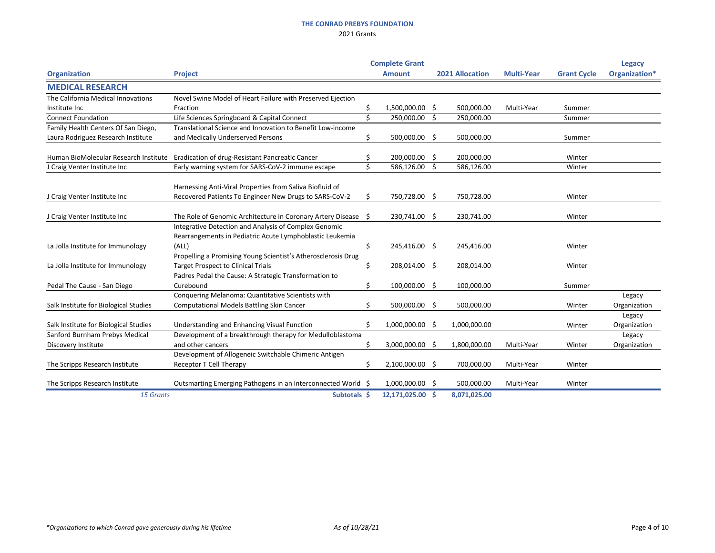|                                       |                                                                                                            |                    | <b>Complete Grant</b> |     |                        |                   |                    | <b>Legacy</b>          |
|---------------------------------------|------------------------------------------------------------------------------------------------------------|--------------------|-----------------------|-----|------------------------|-------------------|--------------------|------------------------|
| <b>Organization</b>                   | <b>Project</b>                                                                                             |                    | <b>Amount</b>         |     | <b>2021 Allocation</b> | <b>Multi-Year</b> | <b>Grant Cycle</b> | Organization*          |
| <b>MEDICAL RESEARCH</b>               |                                                                                                            |                    |                       |     |                        |                   |                    |                        |
| The California Medical Innovations    | Novel Swine Model of Heart Failure with Preserved Ejection                                                 |                    |                       |     |                        |                   |                    |                        |
| Institute Inc                         | Fraction                                                                                                   | \$                 | 1,500,000.00 \$       |     | 500,000.00             | Multi-Year        | Summer             |                        |
| <b>Connect Foundation</b>             | Life Sciences Springboard & Capital Connect                                                                | $\mathsf{\dot{S}}$ | 250,000.00            | \$  | 250,000.00             |                   | Summer             |                        |
| Family Health Centers Of San Diego,   | Translational Science and Innovation to Benefit Low-income                                                 |                    |                       |     |                        |                   |                    |                        |
| Laura Rodriguez Research Institute    | and Medically Underserved Persons                                                                          | \$                 | 500,000.00 \$         |     | 500,000.00             |                   | Summer             |                        |
|                                       | Human BioMolecular Research Institute Eradication of drug-Resistant Pancreatic Cancer                      | Ŝ                  | 200,000.00            | \$  | 200,000.00             |                   | Winter             |                        |
| J Craig Venter Institute Inc          | Early warning system for SARS-CoV-2 immune escape                                                          | $\mathsf{S}$       | 586,126.00            | \$  | 586,126.00             |                   | Winter             |                        |
|                                       | Harnessing Anti-Viral Properties from Saliva Biofluid of                                                   |                    |                       |     |                        |                   |                    |                        |
| J Craig Venter Institute Inc          | Recovered Patients To Engineer New Drugs to SARS-CoV-2                                                     | \$.                | 750,728.00 \$         |     | 750,728.00             |                   | Winter             |                        |
| J Craig Venter Institute Inc          | The Role of Genomic Architecture in Coronary Artery Disease                                                | - \$               | 230,741.00            | \$  | 230,741.00             |                   | Winter             |                        |
|                                       | Integrative Detection and Analysis of Complex Genomic                                                      |                    |                       |     |                        |                   |                    |                        |
|                                       | Rearrangements in Pediatric Acute Lymphoblastic Leukemia                                                   |                    |                       |     |                        |                   |                    |                        |
| La Jolla Institute for Immunology     | (ALL)                                                                                                      | \$                 | 245,416.00            | -\$ | 245,416.00             |                   | Winter             |                        |
| La Jolla Institute for Immunology     | Propelling a Promising Young Scientist's Atherosclerosis Drug<br><b>Target Prospect to Clinical Trials</b> | \$                 | 208,014.00 \$         |     | 208,014.00             |                   | Winter             |                        |
| Pedal The Cause - San Diego           | Padres Pedal the Cause: A Strategic Transformation to<br>Curebound                                         | \$                 | 100,000.00            | \$  | 100,000.00             |                   | Summer             |                        |
| Salk Institute for Biological Studies | Conquering Melanoma: Quantitative Scientists with<br><b>Computational Models Battling Skin Cancer</b>      | Ś.                 | 500,000.00            | \$  | 500,000.00             |                   | Winter             | Legacy<br>Organization |
| Salk Institute for Biological Studies | Understanding and Enhancing Visual Function                                                                |                    | 1,000,000.00 \$       |     | 1,000,000.00           |                   | Winter             | Legacy<br>Organization |
| Sanford Burnham Prebys Medical        | Development of a breakthrough therapy for Medulloblastoma                                                  |                    |                       |     |                        |                   |                    | Legacy                 |
| Discovery Institute                   | and other cancers                                                                                          | \$                 | 3,000,000.00 \$       |     | 1,800,000.00           | Multi-Year        | Winter             | Organization           |
|                                       | Development of Allogeneic Switchable Chimeric Antigen                                                      |                    |                       |     |                        |                   |                    |                        |
| The Scripps Research Institute        | Receptor T Cell Therapy                                                                                    | \$                 | 2,100,000.00          | \$  | 700,000.00             | Multi-Year        | Winter             |                        |
| The Scripps Research Institute        | Outsmarting Emerging Pathogens in an Interconnected World \$                                               |                    | 1,000,000.00 \$       |     | 500,000.00             | Multi-Year        | Winter             |                        |
| 15 Grants                             | Subtotals \$                                                                                               |                    | 12,171,025.00         | -\$ | 8,071,025.00           |                   |                    |                        |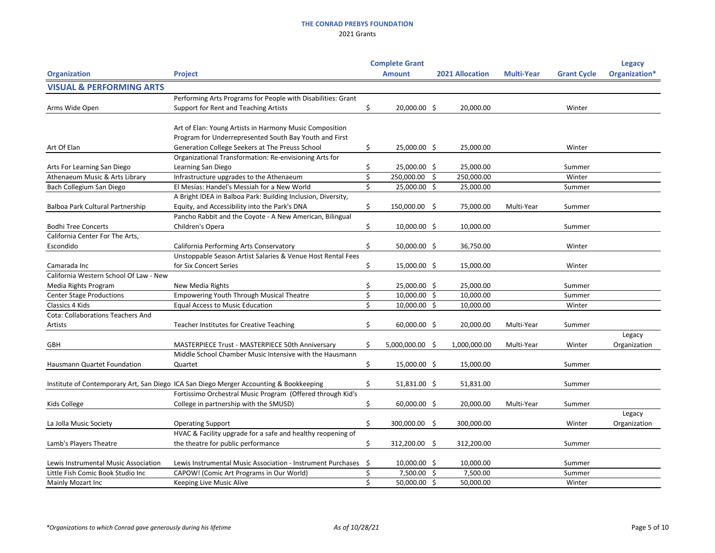|                                          |                                                                                        |     | <b>Complete Grant</b> |     |                        |                   |                    | <b>Legacy</b> |
|------------------------------------------|----------------------------------------------------------------------------------------|-----|-----------------------|-----|------------------------|-------------------|--------------------|---------------|
| <b>Organization</b>                      | <b>Project</b>                                                                         |     | <b>Amount</b>         |     | <b>2021 Allocation</b> | <b>Multi-Year</b> | <b>Grant Cycle</b> | Organization* |
| <b>VISUAL &amp; PERFORMING ARTS</b>      |                                                                                        |     |                       |     |                        |                   |                    |               |
|                                          | Performing Arts Programs for People with Disabilities: Grant                           |     |                       |     |                        |                   |                    |               |
| Arms Wide Open                           | Support for Rent and Teaching Artists                                                  | \$  | 20,000.00 \$          |     | 20,000.00              |                   | Winter             |               |
|                                          |                                                                                        |     |                       |     |                        |                   |                    |               |
|                                          | Art of Elan: Young Artists in Harmony Music Composition                                |     |                       |     |                        |                   |                    |               |
|                                          | Program for Underrepresented South Bay Youth and First                                 |     |                       |     |                        |                   |                    |               |
| Art Of Elan                              | Generation College Seekers at The Preuss School                                        |     | 25,000.00 \$          |     | 25,000.00              |                   | Winter             |               |
|                                          | Organizational Transformation: Re-envisioning Arts for                                 |     |                       |     |                        |                   |                    |               |
| Arts For Learning San Diego              | Learning San Diego                                                                     | \$  | 25,000.00 \$          |     | 25,000.00              |                   | Summer             |               |
| Athenaeum Music & Arts Library           | Infrastructure upgrades to the Athenaeum                                               |     | 250,000.00            | \$. | 250,000.00             |                   | Winter             |               |
| Bach Collegium San Diego                 | El Mesías: Handel's Messiah for a New World                                            |     | 25,000.00             | \$  | 25,000.00              |                   | Summer             |               |
|                                          | A Bright IDEA in Balboa Park: Building Inclusion, Diversity,                           |     |                       |     |                        |                   |                    |               |
| Balboa Park Cultural Partnership         | Equity, and Accessibility into the Park's DNA                                          | \$  | 150,000.00 \$         |     | 75,000.00              | Multi-Year        | Summer             |               |
|                                          | Pancho Rabbit and the Coyote - A New American, Bilingual                               |     |                       |     |                        |                   |                    |               |
| <b>Bodhi Tree Concerts</b>               | Children's Opera                                                                       | Ŝ   | $10,000.00$ \$        |     | 10,000.00              |                   | Summer             |               |
| California Center For The Arts,          |                                                                                        |     |                       |     |                        |                   |                    |               |
| Escondido                                | California Performing Arts Conservatory                                                | \$  | 50,000.00 \$          |     | 36,750.00              |                   | Winter             |               |
|                                          | Unstoppable Season Artist Salaries & Venue Host Rental Fees                            |     |                       |     |                        |                   |                    |               |
| Camarada Inc                             | for Six Concert Series                                                                 |     | 15,000.00 \$          |     | 15,000.00              |                   | Winter             |               |
| California Western School Of Law - New   |                                                                                        |     |                       |     |                        |                   |                    |               |
| Media Rights Program                     | New Media Rights                                                                       |     | 25,000.00 \$          |     | 25,000.00              |                   | Summer             |               |
| <b>Center Stage Productions</b>          | <b>Empowering Youth Through Musical Theatre</b>                                        |     | $10,000.00$ \$        |     | 10,000.00              |                   | Summer             |               |
| Classics 4 Kids                          | <b>Equal Access to Music Education</b>                                                 |     | $10,000.00$ \$        |     | 10,000.00              |                   | Winter             |               |
| <b>Cota: Collaborations Teachers And</b> |                                                                                        |     |                       |     |                        |                   |                    |               |
| Artists                                  | <b>Teacher Institutes for Creative Teaching</b>                                        | S.  | 60,000.00 \$          |     | 20,000.00              | Multi-Year        | Summer             |               |
|                                          |                                                                                        |     |                       |     |                        |                   |                    | Legacy        |
| <b>GBH</b>                               | MASTERPIECE Trust - MASTERPIECE 50th Anniversary                                       |     | 5,000,000.00 \$       |     | 1,000,000.00           | Multi-Year        | Winter             | Organization  |
|                                          | Middle School Chamber Music Intensive with the Hausmann                                |     |                       |     |                        |                   |                    |               |
| <b>Hausmann Quartet Foundation</b>       | Quartet                                                                                | \$  | 15,000.00 \$          |     | 15,000.00              |                   | Summer             |               |
|                                          |                                                                                        |     |                       |     |                        |                   |                    |               |
|                                          | Institute of Contemporary Art, San Diego ICA San Diego Merger Accounting & Bookkeeping | Ş   | 51,831.00 \$          |     | 51,831.00              |                   | Summer             |               |
|                                          | Fortissimo Orchestral Music Program (Offered through Kid's                             |     |                       |     |                        |                   |                    |               |
| Kids College                             | College in partnership with the SMUSD)                                                 | \$  | 60,000.00 \$          |     | 20,000.00              | Multi-Year        | Summer             |               |
|                                          |                                                                                        |     |                       |     |                        |                   |                    | Legacy        |
| La Jolla Music Society                   | <b>Operating Support</b>                                                               | \$  | 300,000.00 \$         |     | 300,000.00             |                   | Winter             | Organization  |
|                                          | HVAC & Facility upgrade for a safe and healthy reopening of                            |     |                       |     |                        |                   |                    |               |
| Lamb's Players Theatre                   | the theatre for public performance                                                     | \$  | 312,200.00 \$         |     | 312,200.00             |                   | Summer             |               |
|                                          |                                                                                        |     |                       |     |                        |                   |                    |               |
| Lewis Instrumental Music Association     | Lewis Instrumental Music Association - Instrument Purchases                            | -\$ | $10,000.00$ \$        |     | 10,000.00              |                   | Summer             |               |
| Little Fish Comic Book Studio Inc        | CAPOW! (Comic Art Programs in Our World)                                               |     | 7,500.00 \$           |     | 7,500.00               |                   | Summer             |               |
| Mainly Mozart Inc                        | <b>Keeping Live Music Alive</b>                                                        |     | 50,000.00 \$          |     | 50,000.00              |                   | Winter             |               |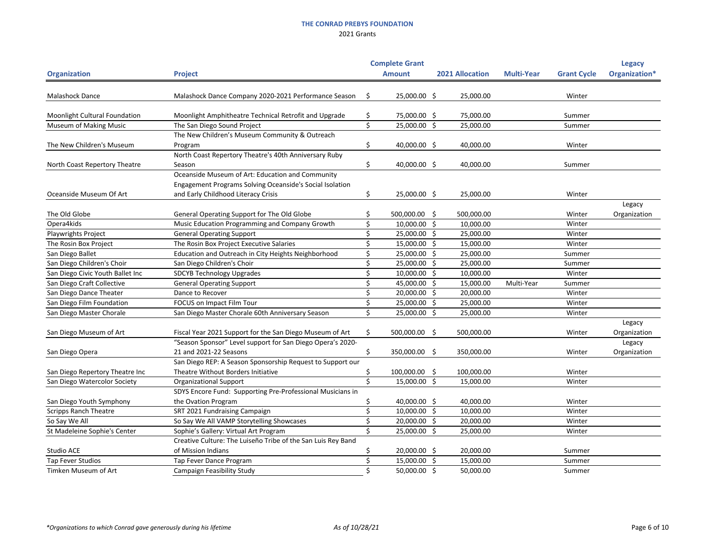|                                  |                                                              |     | <b>Complete Grant</b> |     |                        |                   |                    | <b>Legacy</b> |  |
|----------------------------------|--------------------------------------------------------------|-----|-----------------------|-----|------------------------|-------------------|--------------------|---------------|--|
| <b>Organization</b>              | <b>Project</b>                                               |     | <b>Amount</b>         |     | <b>2021 Allocation</b> | <b>Multi-Year</b> | <b>Grant Cycle</b> | Organization* |  |
| <b>Malashock Dance</b>           | Malashock Dance Company 2020-2021 Performance Season         | \$  | 25,000.00 \$          |     | 25,000.00              |                   | Winter             |               |  |
| Moonlight Cultural Foundation    | Moonlight Amphitheatre Technical Retrofit and Upgrade        |     | 75,000.00 \$          |     | 75,000.00              |                   | Summer             |               |  |
| <b>Museum of Making Music</b>    | The San Diego Sound Project                                  | \$  | 25,000.00             | \$  | 25,000.00              |                   | Summer             |               |  |
|                                  | The New Children's Museum Community & Outreach               |     |                       |     |                        |                   |                    |               |  |
| The New Children's Museum        | Program                                                      | S   | 40,000.00 \$          |     | 40,000.00              |                   | Winter             |               |  |
|                                  | North Coast Repertory Theatre's 40th Anniversary Ruby        |     |                       |     |                        |                   |                    |               |  |
| North Coast Repertory Theatre    | Season                                                       | \$  | 40,000.00 \$          |     | 40,000.00              |                   | Summer             |               |  |
|                                  | Oceanside Museum of Art: Education and Community             |     |                       |     |                        |                   |                    |               |  |
|                                  | Engagement Programs Solving Oceanside's Social Isolation     |     |                       |     |                        |                   |                    |               |  |
| Oceanside Museum Of Art          | and Early Childhood Literacy Crisis                          | Ş   | 25,000.00 \$          |     | 25,000.00              |                   | Winter             |               |  |
|                                  |                                                              |     |                       |     |                        |                   |                    | Legacy        |  |
| The Old Globe                    | General Operating Support for The Old Globe                  |     | 500,000.00            | -\$ | 500,000.00             |                   | Winter             | Organization  |  |
| Opera4kids                       | Music Education Programming and Company Growth               |     | 10,000.00             | -\$ | 10,000.00              |                   | Winter             |               |  |
| Playwrights Project              | <b>General Operating Support</b>                             |     | 25,000.00 \$          |     | 25,000.00              |                   | Winter             |               |  |
| The Rosin Box Project            | The Rosin Box Project Executive Salaries                     |     | 15,000.00             | \$  | 15,000.00              |                   | Winter             |               |  |
| San Diego Ballet                 | Education and Outreach in City Heights Neighborhood          |     | 25,000.00             | -\$ | 25,000.00              |                   | Summer             |               |  |
| San Diego Children's Choir       | San Diego Children's Choir                                   |     | 25,000.00             | \$  | 25,000.00              |                   | Summer             |               |  |
| San Diego Civic Youth Ballet Inc | <b>SDCYB Technology Upgrades</b>                             |     | 10,000.00             | -\$ | 10,000.00              |                   | Winter             |               |  |
| San Diego Craft Collective       | <b>General Operating Support</b>                             |     | 45,000.00             | -\$ | 15,000.00              | Multi-Year        | Summer             |               |  |
| San Diego Dance Theater          | Dance to Recover                                             |     | 20,000.00             | -Ŝ  | 20,000.00              |                   | Winter             |               |  |
| San Diego Film Foundation        | FOCUS on Impact Film Tour                                    |     | 25,000.00             | S   | 25,000.00              |                   | Winter             |               |  |
| San Diego Master Chorale         | San Diego Master Chorale 60th Anniversary Season             |     | 25,000.00             | \$  | 25,000.00              |                   | Winter             |               |  |
|                                  |                                                              |     |                       |     |                        |                   |                    | Legacy        |  |
| San Diego Museum of Art          | Fiscal Year 2021 Support for the San Diego Museum of Art     | \$. | 500,000.00            | -\$ | 500,000.00             |                   | Winter             | Organization  |  |
|                                  | "Season Sponsor" Level support for San Diego Opera's 2020-   |     |                       |     |                        |                   |                    | Legacy        |  |
| San Diego Opera                  | 21 and 2021-22 Seasons                                       |     | 350,000.00 \$         |     | 350,000.00             |                   | Winter             | Organization  |  |
|                                  | San Diego REP: A Season Sponsorship Request to Support our   |     |                       |     |                        |                   |                    |               |  |
| San Diego Repertory Theatre Inc  | Theatre Without Borders Initiative                           |     | 100,000.00 \$         |     | 100,000.00             |                   | Winter             |               |  |
| San Diego Watercolor Society     | <b>Organizational Support</b>                                | ς   | 15,000.00             | \$  | 15,000.00              |                   | Winter             |               |  |
|                                  | SDYS Encore Fund: Supporting Pre-Professional Musicians in   |     |                       |     |                        |                   |                    |               |  |
| San Diego Youth Symphony         | the Ovation Program                                          |     | 40,000.00 \$          |     | 40,000.00              |                   | Winter             |               |  |
| <b>Scripps Ranch Theatre</b>     | SRT 2021 Fundraising Campaign                                |     | 10,000.00 \$          |     | 10,000.00              |                   | Winter             |               |  |
| So Say We All                    | So Say We All VAMP Storytelling Showcases                    |     | 20,000.00 \$          |     | 20,000.00              |                   | Winter             |               |  |
| St Madeleine Sophie's Center     | Sophie's Gallery: Virtual Art Program                        |     | 25,000.00 \$          |     | 25,000.00              |                   | Winter             |               |  |
|                                  | Creative Culture: The Luiseño Tribe of the San Luis Rey Band |     |                       |     |                        |                   |                    |               |  |
| Studio ACE                       | of Mission Indians                                           |     | 20,000.00 \$          |     | 20,000.00              |                   | Summer             |               |  |
| Tap Fever Studios                | Tap Fever Dance Program                                      |     | 15,000.00 \$          |     | 15,000.00              |                   | Summer             |               |  |
| Timken Museum of Art             | <b>Campaign Feasibility Study</b>                            | Š.  | 50,000.00 \$          |     | 50,000.00              |                   | Summer             |               |  |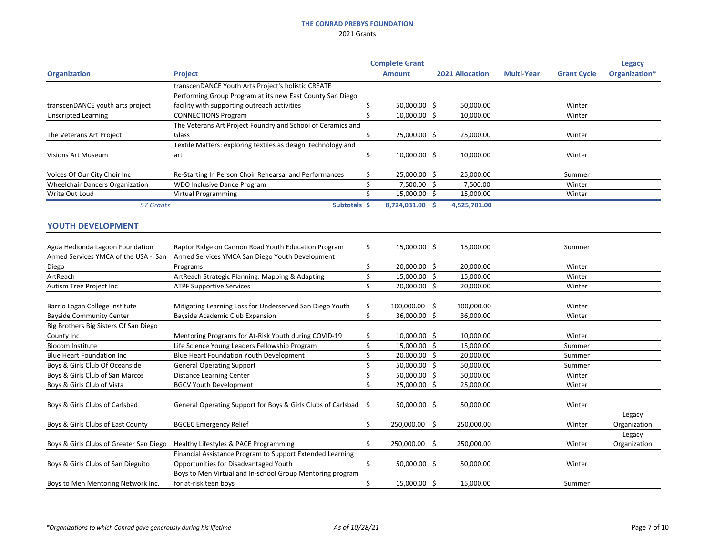|                                         |                                                                 |    | <b>Complete Grant</b> |                        |                   |                    | <b>Legacy</b>          |
|-----------------------------------------|-----------------------------------------------------------------|----|-----------------------|------------------------|-------------------|--------------------|------------------------|
| <b>Organization</b>                     | <b>Project</b>                                                  |    | <b>Amount</b>         | <b>2021 Allocation</b> | <b>Multi-Year</b> | <b>Grant Cycle</b> | Organization*          |
|                                         | transcenDANCE Youth Arts Project's holistic CREATE              |    |                       |                        |                   |                    |                        |
|                                         | Performing Group Program at its new East County San Diego       |    |                       |                        |                   |                    |                        |
| transcenDANCE youth arts project        | facility with supporting outreach activities                    |    | 50,000.00 \$          | 50,000.00              |                   | Winter             |                        |
| <b>Unscripted Learning</b>              | <b>CONNECTIONS Program</b>                                      | Ś  | 10,000.00             | \$<br>10,000.00        |                   | Winter             |                        |
|                                         | The Veterans Art Project Foundry and School of Ceramics and     |    |                       |                        |                   |                    |                        |
| The Veterans Art Project                | Glass                                                           | \$ | 25,000.00 \$          | 25,000.00              |                   | Winter             |                        |
|                                         | Textile Matters: exploring textiles as design, technology and   |    |                       |                        |                   |                    |                        |
| <b>Visions Art Museum</b>               | art                                                             | \$ | 10,000.00 \$          | 10,000.00              |                   | Winter             |                        |
| Voices Of Our City Choir Inc            | Re-Starting In Person Choir Rehearsal and Performances          |    | 25,000.00 \$          | 25,000.00              |                   | Summer             |                        |
| <b>Wheelchair Dancers Organization</b>  | <b>WDO Inclusive Dance Program</b>                              |    | 7,500.00 \$           | 7,500.00               |                   | Winter             |                        |
| Write Out Loud                          | <b>Virtual Programming</b>                                      |    | 15,000.00 \$          | 15,000.00              |                   | Winter             |                        |
|                                         |                                                                 |    |                       |                        |                   |                    |                        |
| 57 Grants                               | Subtotals \$                                                    |    | 8,724,031.00 \$       | 4,525,781.00           |                   |                    |                        |
| <b>YOUTH DEVELOPMENT</b>                |                                                                 |    |                       |                        |                   |                    |                        |
|                                         |                                                                 |    |                       |                        |                   |                    |                        |
| Agua Hedionda Lagoon Foundation         | Raptor Ridge on Cannon Road Youth Education Program             | S  | 15,000.00 \$          | 15,000.00              |                   | Summer             |                        |
| Armed Services YMCA of the USA - San    | Armed Services YMCA San Diego Youth Development                 |    |                       |                        |                   |                    |                        |
| Diego                                   | Programs                                                        |    | 20,000.00 \$          | 20,000.00              |                   | Winter             |                        |
| ArtReach                                | ArtReach Strategic Planning: Mapping & Adapting                 |    | 15,000.00 \$          | 15,000.00              |                   | Winter             |                        |
| Autism Tree Project Inc                 | <b>ATPF Supportive Services</b>                                 |    | 20,000.00             | \$<br>20,000.00        |                   | Winter             |                        |
| Barrio Logan College Institute          | Mitigating Learning Loss for Underserved San Diego Youth        | \$ | 100,000.00            | \$<br>100,000.00       |                   | Winter             |                        |
| <b>Bayside Community Center</b>         | <b>Bayside Academic Club Expansion</b>                          | ς  | 36,000.00 \$          | 36,000.00              |                   | Winter             |                        |
| Big Brothers Big Sisters Of San Diego   |                                                                 |    |                       |                        |                   |                    |                        |
| County Inc                              | Mentoring Programs for At-Risk Youth during COVID-19            |    | 10,000.00 \$          | 10,000.00              |                   | Winter             |                        |
| <b>Biocom Institute</b>                 | Life Science Young Leaders Fellowship Program                   |    | 15,000.00 \$          | 15,000.00              |                   | Summer             |                        |
| <b>Blue Heart Foundation Inc</b>        | <b>Blue Heart Foundation Youth Development</b>                  |    | 20,000.00 \$          | 20,000.00              |                   | Summer             |                        |
| Boys & Girls Club Of Oceanside          | <b>General Operating Support</b>                                | ∍  | 50,000.00 \$          | 50,000.00              |                   | Summer             |                        |
| Boys & Girls Club of San Marcos         | <b>Distance Learning Center</b>                                 |    | 50,000.00 \$          | 50,000.00              |                   | Winter             |                        |
| Boys & Girls Club of Vista              | <b>BGCV Youth Development</b>                                   |    | 25,000.00 \$          | 25,000.00              |                   | Winter             |                        |
|                                         |                                                                 |    |                       |                        |                   |                    |                        |
| Boys & Girls Clubs of Carlsbad          | General Operating Support for Boys & Girls Clubs of Carlsbad \$ |    | 50,000.00 \$          | 50,000.00              |                   | Winter             |                        |
| Boys & Girls Clubs of East County       | <b>BGCEC Emergency Relief</b>                                   | \$ | 250,000.00 \$         | 250,000.00             |                   | Winter             | Legacy<br>Organization |
|                                         |                                                                 |    |                       |                        |                   |                    | Legacy                 |
| Boys & Girls Clubs of Greater San Diego | Healthy Lifestyles & PACE Programming                           | S  | 250,000.00 \$         | 250,000.00             |                   | Winter             | Organization           |
|                                         | Financial Assistance Program to Support Extended Learning       |    |                       |                        |                   |                    |                        |
| Boys & Girls Clubs of San Dieguito      | Opportunities for Disadvantaged Youth                           | \$ | 50,000.00 \$          | 50,000.00              |                   | Winter             |                        |
|                                         | Boys to Men Virtual and In-school Group Mentoring program       |    |                       |                        |                   |                    |                        |
| Boys to Men Mentoring Network Inc.      | for at-risk teen boys                                           |    | 15,000.00 \$          | 15,000.00              |                   | Summer             |                        |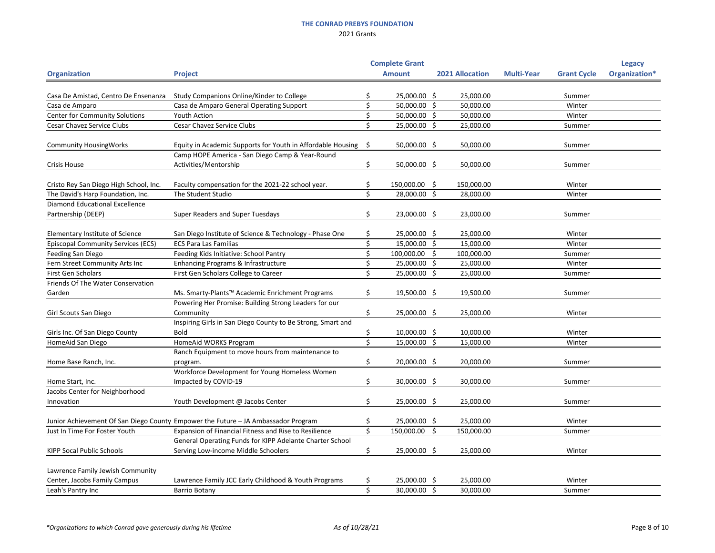| <b>Multi-Year</b><br>Organization*<br><b>Amount</b><br><b>2021 Allocation</b><br><b>Grant Cycle</b><br><b>Organization</b><br><b>Project</b><br>25,000.00 \$<br>25,000.00<br>Casa De Amistad, Centro De Ensenanza<br>Study Companions Online/Kinder to College<br>Summer<br>Casa de Amparo General Operating Support<br>50,000.00 \$<br>Casa de Amparo<br>50,000.00<br>Winter<br><b>Center for Community Solutions</b><br>50,000.00 \$<br>Youth Action<br>50,000.00<br>Winter<br><b>Cesar Chavez Service Clubs</b><br><b>Cesar Chavez Service Clubs</b><br>25,000.00 \$<br>25,000.00<br>Summer<br>50,000.00 \$<br><b>Community HousingWorks</b><br>Equity in Academic Supports for Youth in Affordable Housing \$<br>50,000.00<br>Summer<br>Camp HOPE America - San Diego Camp & Year-Round |
|---------------------------------------------------------------------------------------------------------------------------------------------------------------------------------------------------------------------------------------------------------------------------------------------------------------------------------------------------------------------------------------------------------------------------------------------------------------------------------------------------------------------------------------------------------------------------------------------------------------------------------------------------------------------------------------------------------------------------------------------------------------------------------------------|
|                                                                                                                                                                                                                                                                                                                                                                                                                                                                                                                                                                                                                                                                                                                                                                                             |
|                                                                                                                                                                                                                                                                                                                                                                                                                                                                                                                                                                                                                                                                                                                                                                                             |
|                                                                                                                                                                                                                                                                                                                                                                                                                                                                                                                                                                                                                                                                                                                                                                                             |
|                                                                                                                                                                                                                                                                                                                                                                                                                                                                                                                                                                                                                                                                                                                                                                                             |
|                                                                                                                                                                                                                                                                                                                                                                                                                                                                                                                                                                                                                                                                                                                                                                                             |
|                                                                                                                                                                                                                                                                                                                                                                                                                                                                                                                                                                                                                                                                                                                                                                                             |
|                                                                                                                                                                                                                                                                                                                                                                                                                                                                                                                                                                                                                                                                                                                                                                                             |
|                                                                                                                                                                                                                                                                                                                                                                                                                                                                                                                                                                                                                                                                                                                                                                                             |
|                                                                                                                                                                                                                                                                                                                                                                                                                                                                                                                                                                                                                                                                                                                                                                                             |
| Activities/Mentorship<br>50,000.00 \$<br><b>Crisis House</b><br>\$<br>50,000.00<br>Summer                                                                                                                                                                                                                                                                                                                                                                                                                                                                                                                                                                                                                                                                                                   |
|                                                                                                                                                                                                                                                                                                                                                                                                                                                                                                                                                                                                                                                                                                                                                                                             |
| 150,000.00 \$<br>Faculty compensation for the 2021-22 school year.<br>150,000.00<br>Cristo Rey San Diego High School, Inc.<br>Winter                                                                                                                                                                                                                                                                                                                                                                                                                                                                                                                                                                                                                                                        |
| Ŝ.<br>28,000.00 \$<br>The David's Harp Foundation, Inc.<br>The Student Studio<br>28,000.00<br>Winter                                                                                                                                                                                                                                                                                                                                                                                                                                                                                                                                                                                                                                                                                        |
| <b>Diamond Educational Excellence</b>                                                                                                                                                                                                                                                                                                                                                                                                                                                                                                                                                                                                                                                                                                                                                       |
| 23,000.00 \$<br>Partnership (DEEP)<br><b>Super Readers and Super Tuesdays</b><br>\$<br>23,000.00<br>Summer                                                                                                                                                                                                                                                                                                                                                                                                                                                                                                                                                                                                                                                                                  |
|                                                                                                                                                                                                                                                                                                                                                                                                                                                                                                                                                                                                                                                                                                                                                                                             |
| Elementary Institute of Science<br>San Diego Institute of Science & Technology - Phase One<br>25,000.00 \$<br>25,000.00<br>Winter                                                                                                                                                                                                                                                                                                                                                                                                                                                                                                                                                                                                                                                           |
| <b>Episcopal Community Services (ECS)</b><br>15,000.00 \$<br><b>ECS Para Las Familias</b><br>15,000.00<br>Winter                                                                                                                                                                                                                                                                                                                                                                                                                                                                                                                                                                                                                                                                            |
| Feeding San Diego<br>Feeding Kids Initiative: School Pantry<br>100,000.00<br>100,000.00<br>S<br>Summer                                                                                                                                                                                                                                                                                                                                                                                                                                                                                                                                                                                                                                                                                      |
| Fern Street Community Arts Inc<br>Enhancing Programs & Infrastructure<br>25,000.00 \$<br>25,000.00<br>Winter                                                                                                                                                                                                                                                                                                                                                                                                                                                                                                                                                                                                                                                                                |
| First Gen Scholars<br>First Gen Scholars College to Career<br>25,000.00 \$<br>25,000.00<br>Summer                                                                                                                                                                                                                                                                                                                                                                                                                                                                                                                                                                                                                                                                                           |
| Friends Of The Water Conservation                                                                                                                                                                                                                                                                                                                                                                                                                                                                                                                                                                                                                                                                                                                                                           |
| Ms. Smarty-Plants™ Academic Enrichment Programs<br>19,500.00 \$<br>19,500.00<br>S.<br>Garden<br>Summer                                                                                                                                                                                                                                                                                                                                                                                                                                                                                                                                                                                                                                                                                      |
| Powering Her Promise: Building Strong Leaders for our                                                                                                                                                                                                                                                                                                                                                                                                                                                                                                                                                                                                                                                                                                                                       |
| 25,000.00 \$<br>\$<br>25,000.00<br>Girl Scouts San Diego<br>Community<br>Winter                                                                                                                                                                                                                                                                                                                                                                                                                                                                                                                                                                                                                                                                                                             |
| Inspiring Girls in San Diego County to Be Strong, Smart and                                                                                                                                                                                                                                                                                                                                                                                                                                                                                                                                                                                                                                                                                                                                 |
| Girls Inc. Of San Diego County<br>$10,000.00$ \$<br>10,000.00<br><b>Bold</b><br>Winter<br>S                                                                                                                                                                                                                                                                                                                                                                                                                                                                                                                                                                                                                                                                                                 |
| $\zeta$<br>HomeAid San Diego<br>HomeAid WORKS Program<br>15,000.00 \$<br>15,000.00<br>Winter                                                                                                                                                                                                                                                                                                                                                                                                                                                                                                                                                                                                                                                                                                |
| Ranch Equipment to move hours from maintenance to                                                                                                                                                                                                                                                                                                                                                                                                                                                                                                                                                                                                                                                                                                                                           |
| \$<br>20,000.00 \$<br>20,000.00<br>Home Base Ranch, Inc.<br>Summer<br>program.                                                                                                                                                                                                                                                                                                                                                                                                                                                                                                                                                                                                                                                                                                              |
| Workforce Development for Young Homeless Women                                                                                                                                                                                                                                                                                                                                                                                                                                                                                                                                                                                                                                                                                                                                              |
| 30,000.00 \$<br>Impacted by COVID-19<br>\$<br>30,000.00<br>Home Start, Inc.<br>Summer                                                                                                                                                                                                                                                                                                                                                                                                                                                                                                                                                                                                                                                                                                       |
| Jacobs Center for Neighborhood                                                                                                                                                                                                                                                                                                                                                                                                                                                                                                                                                                                                                                                                                                                                                              |
| Youth Development @ Jacobs Center<br>25,000.00 \$<br>25,000.00<br>Innovation<br>S<br>Summer                                                                                                                                                                                                                                                                                                                                                                                                                                                                                                                                                                                                                                                                                                 |
| Junior Achievement Of San Diego County Empower the Future - JA Ambassador Program<br>25,000.00 \$<br>25,000.00<br>Winter                                                                                                                                                                                                                                                                                                                                                                                                                                                                                                                                                                                                                                                                    |
| Expansion of Financial Fitness and Rise to Resilience<br>Ŝ.<br>150,000.00<br>Just In Time For Foster Youth<br>\$<br>150,000.00<br>Summer                                                                                                                                                                                                                                                                                                                                                                                                                                                                                                                                                                                                                                                    |
| General Operating Funds for KIPP Adelante Charter School                                                                                                                                                                                                                                                                                                                                                                                                                                                                                                                                                                                                                                                                                                                                    |
| 25,000.00 \$<br>Serving Low-income Middle Schoolers<br>25,000.00<br><b>KIPP Socal Public Schools</b><br>Winter<br>S                                                                                                                                                                                                                                                                                                                                                                                                                                                                                                                                                                                                                                                                         |
|                                                                                                                                                                                                                                                                                                                                                                                                                                                                                                                                                                                                                                                                                                                                                                                             |
| Lawrence Family Jewish Community                                                                                                                                                                                                                                                                                                                                                                                                                                                                                                                                                                                                                                                                                                                                                            |
| 25,000.00 \$<br>Center, Jacobs Family Campus<br>Lawrence Family JCC Early Childhood & Youth Programs<br>25,000.00<br>Winter                                                                                                                                                                                                                                                                                                                                                                                                                                                                                                                                                                                                                                                                 |
| 30,000.00 \$<br>30,000.00<br>Leah's Pantry Inc<br><b>Barrio Botany</b><br>Summer                                                                                                                                                                                                                                                                                                                                                                                                                                                                                                                                                                                                                                                                                                            |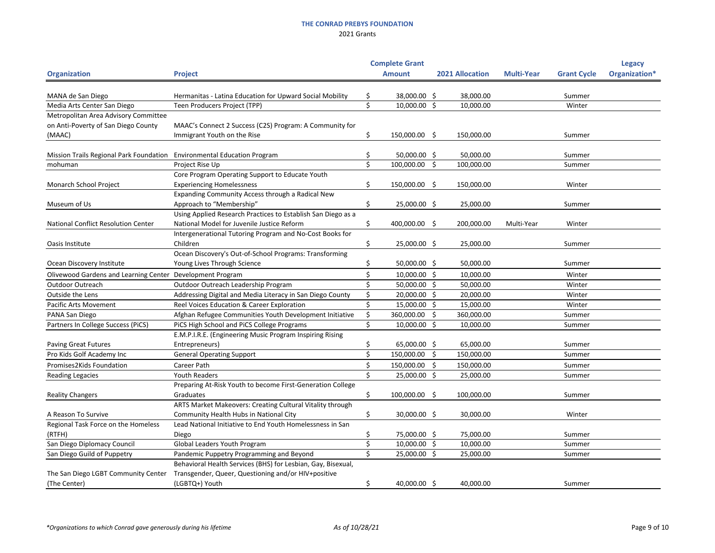|                                                                         |                                                              |    | <b>Complete Grant</b> |                        |                   |                    | <b>Legacy</b> |
|-------------------------------------------------------------------------|--------------------------------------------------------------|----|-----------------------|------------------------|-------------------|--------------------|---------------|
| <b>Organization</b>                                                     | <b>Project</b>                                               |    | <b>Amount</b>         | <b>2021 Allocation</b> | <b>Multi-Year</b> | <b>Grant Cycle</b> | Organization* |
|                                                                         |                                                              |    |                       |                        |                   |                    |               |
| MANA de San Diego                                                       | Hermanitas - Latina Education for Upward Social Mobility     |    | 38,000.00 \$          | 38,000.00              |                   | Summer             |               |
| Media Arts Center San Diego                                             | Teen Producers Project (TPP)                                 | \$ | 10,000.00 \$          | 10,000.00              |                   | Winter             |               |
| Metropolitan Area Advisory Committee                                    |                                                              |    |                       |                        |                   |                    |               |
| on Anti-Poverty of San Diego County                                     | MAAC's Connect 2 Success (C2S) Program: A Community for      |    |                       |                        |                   |                    |               |
| (MAAC)                                                                  | Immigrant Youth on the Rise                                  | Ś. | 150,000.00 \$         | 150,000.00             |                   | Summer             |               |
|                                                                         |                                                              |    |                       |                        |                   |                    |               |
| Mission Trails Regional Park Foundation Environmental Education Program |                                                              |    | 50,000.00 \$          | 50,000.00              |                   | Summer             |               |
| mohuman                                                                 | Project Rise Up                                              |    | 100,000.00            | \$<br>100,000.00       |                   | Summer             |               |
|                                                                         | Core Program Operating Support to Educate Youth              |    |                       |                        |                   |                    |               |
| Monarch School Project                                                  | <b>Experiencing Homelessness</b>                             |    | 150,000.00 \$         | 150,000.00             |                   | Winter             |               |
|                                                                         | Expanding Community Access through a Radical New             |    |                       |                        |                   |                    |               |
| Museum of Us                                                            | Approach to "Membership"                                     | \$ | 25,000.00 \$          | 25,000.00              |                   | Summer             |               |
|                                                                         | Using Applied Research Practices to Establish San Diego as a |    |                       |                        |                   |                    |               |
| <b>National Conflict Resolution Center</b>                              | National Model for Juvenile Justice Reform                   | Ŝ. | 400,000.00            | \$<br>200,000.00       | Multi-Year        | Winter             |               |
|                                                                         | Intergenerational Tutoring Program and No-Cost Books for     |    |                       |                        |                   |                    |               |
| Oasis Institute                                                         | Children                                                     | \$ | 25,000.00 \$          | 25,000.00              |                   | Summer             |               |
|                                                                         | Ocean Discovery's Out-of-School Programs: Transforming       |    |                       |                        |                   |                    |               |
| Ocean Discovery Institute                                               | Young Lives Through Science                                  |    | 50,000.00 \$          | 50,000.00              |                   | Summer             |               |
| Olivewood Gardens and Learning Center Development Program               |                                                              |    | 10,000.00 \$          | 10,000.00              |                   | Winter             |               |
| Outdoor Outreach                                                        | Outdoor Outreach Leadership Program                          |    | 50,000.00 \$          | 50,000.00              |                   | Winter             |               |
| Outside the Lens                                                        | Addressing Digital and Media Literacy in San Diego County    |    | 20,000.00 \$          | 20,000.00              |                   | Winter             |               |
| <b>Pacific Arts Movement</b>                                            | Reel Voices Education & Career Exploration                   |    | 15,000.00 \$          | 15,000.00              |                   | Winter             |               |
| PANA San Diego                                                          | Afghan Refugee Communities Youth Development Initiative      |    | 360,000.00            | \$<br>360,000.00       |                   | Summer             |               |
| Partners In College Success (PiCS)                                      | PiCS High School and PiCS College Programs                   |    | 10,000.00 \$          | 10,000.00              |                   | Summer             |               |
|                                                                         | E.M.P.I.R.E. (Engineering Music Program Inspiring Rising     |    |                       |                        |                   |                    |               |
| <b>Paving Great Futures</b>                                             | Entrepreneurs)                                               |    | 65,000.00 \$          | 65,000.00              |                   | Summer             |               |
| Pro Kids Golf Academy Inc                                               | <b>General Operating Support</b>                             |    | 150,000.00            | \$<br>150,000.00       |                   | Summer             |               |
| Promises2Kids Foundation                                                | Career Path                                                  | \$ | 150,000.00 \$         | 150,000.00             |                   | Summer             |               |
| <b>Reading Legacies</b>                                                 | <b>Youth Readers</b>                                         | ς  | 25,000.00 \$          | 25,000.00              |                   | Summer             |               |
|                                                                         | Preparing At-Risk Youth to become First-Generation College   |    |                       |                        |                   |                    |               |
| <b>Reality Changers</b>                                                 | Graduates                                                    | \$ | 100,000.00            | \$<br>100,000.00       |                   | Summer             |               |
|                                                                         | ARTS Market Makeovers: Creating Cultural Vitality through    |    |                       |                        |                   |                    |               |
| A Reason To Survive                                                     | Community Health Hubs in National City                       | \$ | 30,000.00 \$          | 30,000.00              |                   | Winter             |               |
| Regional Task Force on the Homeless                                     | Lead National Initiative to End Youth Homelessness in San    |    |                       |                        |                   |                    |               |
| (RTFH)                                                                  | Diego                                                        |    | 75,000.00 \$          | 75,000.00              |                   | Summer             |               |
| San Diego Diplomacy Council                                             | Global Leaders Youth Program                                 |    | 10,000.00 \$          | 10,000.00              |                   | Summer             |               |
| San Diego Guild of Puppetry                                             | Pandemic Puppetry Programming and Beyond                     |    | 25,000.00 \$          | 25,000.00              |                   | Summer             |               |
|                                                                         | Behavioral Health Services (BHS) for Lesbian, Gay, Bisexual, |    |                       |                        |                   |                    |               |
| The San Diego LGBT Community Center                                     | Transgender, Queer, Questioning and/or HIV+positive          |    |                       |                        |                   |                    |               |
| (The Center)                                                            | (LGBTQ+) Youth                                               | Ş  | 40,000.00 \$          | 40,000.00              |                   | Summer             |               |